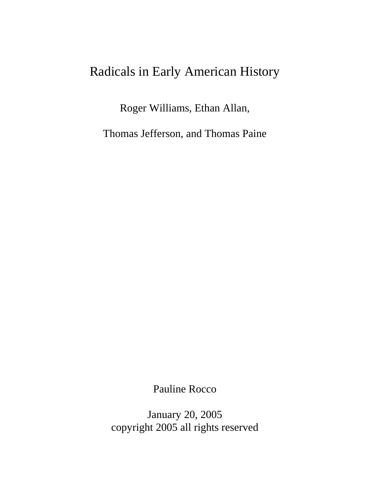# Radicals in Early American History

Roger Williams, Ethan Allan,

Thomas Jefferson, and Thomas Paine

Pauline Rocco

January 20, 2005 copyright 2005 all rights reserved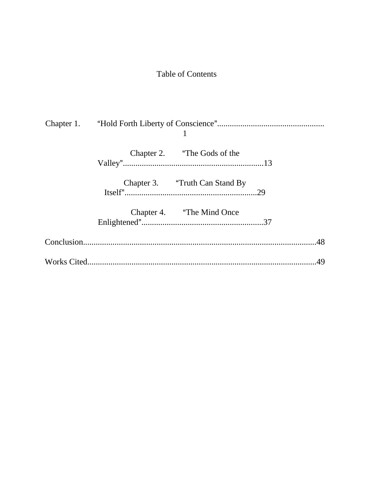# Table of Contents

| Chapter 2. "The Gods of the    |  |
|--------------------------------|--|
| Chapter 3. "Truth Can Stand By |  |
| Chapter 4. "The Mind Once"     |  |
|                                |  |
|                                |  |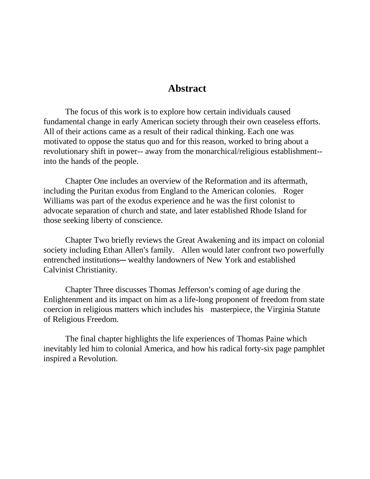#### **Abstract**

The focus of this work is to explore how certain individuals caused fundamental change in early American society through their own ceaseless efforts. All of their actions came as a result of their radical thinking. Each one was motivated to oppose the status quo and for this reason, worked to bring about a revolutionary shift in power-- away from the monarchical/religious establishment- into the hands of the people.

Chapter One includes an overview of the Reformation and its aftermath, including the Puritan exodus from England to the American colonies. Roger Williams was part of the exodus experience and he was the first colonist to advocate separation of church and state, and later established Rhode Island for those seeking liberty of conscience.

Chapter Two briefly reviews the Great Awakening and its impact on colonial society including Ethan Allen's family. Allen would later confront two powerfully entrenched institutions— wealthy landowners of New York and established Calvinist Christianity.

Chapter Three discusses Thomas Jefferson's coming of age during the Enlightenment and its impact on him as a life-long proponent of freedom from state coercion in religious matters which includes his masterpiece, the Virginia Statute of Religious Freedom.

The final chapter highlights the life experiences of Thomas Paine which inevitably led him to colonial America, and how his radical forty-six page pamphlet inspired a Revolution.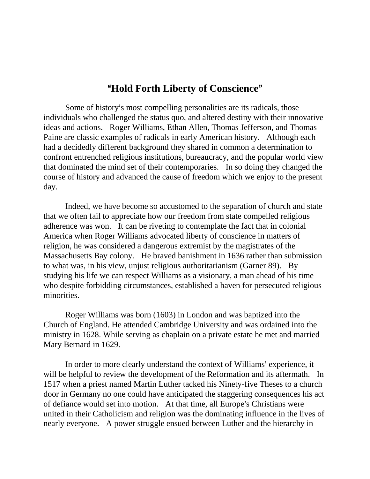### "Hold Forth Liberty of Conscience"

Some of history's most compelling personalities are its radicals, those individuals who challenged the status quo, and altered destiny with their innovative ideas and actions. Roger Williams, Ethan Allen, Thomas Jefferson, and Thomas Paine are classic examples of radicals in early American history. Although each had a decidedly different background they shared in common a determination to confront entrenched religious institutions, bureaucracy, and the popular world view that dominated the mind set of their contemporaries. In so doing they changed the course of history and advanced the cause of freedom which we enjoy to the present day.

Indeed, we have become so accustomed to the separation of church and state that we often fail to appreciate how our freedom from state compelled religious adherence was won. It can be riveting to contemplate the fact that in colonial America when Roger Williams advocated liberty of conscience in matters of religion, he was considered a dangerous extremist by the magistrates of the Massachusetts Bay colony. He braved banishment in 1636 rather than submission to what was, in his view, unjust religious authoritarianism (Garner 89). By studying his life we can respect Williams as a visionary, a man ahead of his time who despite forbidding circumstances, established a haven for persecuted religious minorities.

Roger Williams was born (1603) in London and was baptized into the Church of England. He attended Cambridge University and was ordained into the ministry in 1628. While serving as chaplain on a private estate he met and married Mary Bernard in 1629.

In order to more clearly understand the context of Williams' experience, it will be helpful to review the development of the Reformation and its aftermath. In 1517 when a priest named Martin Luther tacked his Ninety-five Theses to a church door in Germany no one could have anticipated the staggering consequences his act of defiance would set into motion. At that time, all Europe's Christians were united in their Catholicism and religion was the dominating influence in the lives of nearly everyone. A power struggle ensued between Luther and the hierarchy in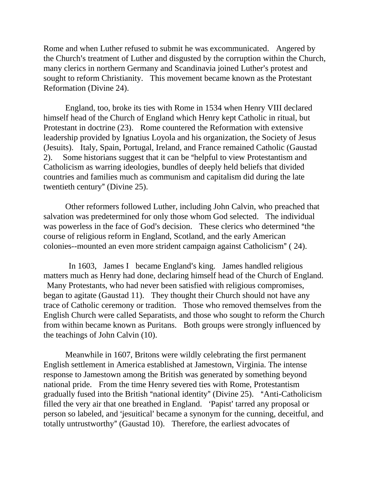Rome and when Luther refused to submit he was excommunicated. Angered by the Church's treatment of Luther and disgusted by the corruption within the Church, many clerics in northern Germany and Scandinavia joined Luther's protest and sought to reform Christianity. This movement became known as the Protestant Reformation (Divine 24).

England, too, broke its ties with Rome in 1534 when Henry VIII declared himself head of the Church of England which Henry kept Catholic in ritual, but Protestant in doctrine (23). Rome countered the Reformation with extensive leadership provided by Ignatius Loyola and his organization, the Society of Jesus (Jesuits). Italy, Spain, Portugal, Ireland, and France remained Catholic (Gaustad 2). Some historians suggest that it can be "helpful to view Protestantism and Catholicism as warring ideologies, bundles of deeply held beliefs that divided countries and families much as communism and capitalism did during the late twentieth century" (Divine 25).

Other reformers followed Luther, including John Calvin, who preached that salvation was predetermined for only those whom God selected. The individual was powerless in the face of God's decision. These clerics who determined "the course of religious reform in England, Scotland, and the early American colonies--mounted an even more strident campaign against Catholicism" (24).

In 1603, James I became England's king. James handled religious matters much as Henry had done, declaring himself head of the Church of England. Many Protestants, who had never been satisfied with religious compromises, began to agitate (Gaustad 11). They thought their Church should not have any trace of Catholic ceremony or tradition. Those who removed themselves from the English Church were called Separatists, and those who sought to reform the Church from within became known as Puritans. Both groups were strongly influenced by the teachings of John Calvin (10).

Meanwhile in 1607, Britons were wildly celebrating the first permanent English settlement in America established at Jamestown, Virginia. The intense response to Jamestown among the British was generated by something beyond national pride. From the time Henry severed ties with Rome, Protestantism gradually fused into the British "national identity" (Divine 25). "Anti-Catholicism filled the very air that one breathed in England. 'Papist' tarred any proposal or person so labeled, and 'jesuitical' became a synonym for the cunning, deceitful, and totally untrustworthy" (Gaustad 10). Therefore, the earliest advocates of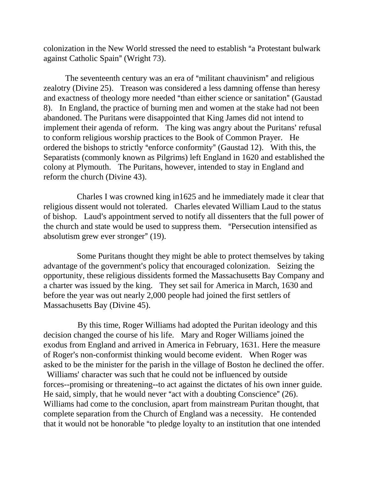colonization in the New World stressed the need to establish "a Protestant bulwark against Catholic Spain" (Wright 73).

The seventeenth century was an era of "militant chauvinism" and religious zealotry (Divine 25). Treason was considered a less damning offense than heresy and exactness of theology more needed "than either science or sanitation" (Gaustad 8). In England, the practice of burning men and women at the stake had not been abandoned. The Puritans were disappointed that King James did not intend to implement their agenda of reform. The king was angry about the Puritans' refusal to conform religious worship practices to the Book of Common Prayer. He ordered the bishops to strictly "enforce conformity" (Gaustad 12). With this, the Separatists (commonly known as Pilgrims) left England in 1620 and established the colony at Plymouth. The Puritans, however, intended to stay in England and reform the church (Divine 43).

 Charles I was crowned king in1625 and he immediately made it clear that religious dissent would not tolerated. Charles elevated William Laud to the status of bishop. Laud's appointment served to notify all dissenters that the full power of the church and state would be used to suppress them. "Persecution intensified as absolutism grew ever stronger"  $(19)$ .

 Some Puritans thought they might be able to protect themselves by taking advantage of the government's policy that encouraged colonization. Seizing the opportunity, these religious dissidents formed the Massachusetts Bay Company and a charter was issued by the king. They set sail for America in March, 1630 and before the year was out nearly 2,000 people had joined the first settlers of Massachusetts Bay (Divine 45).

 By this time, Roger Williams had adopted the Puritan ideology and this decision changed the course of his life. Mary and Roger Williams joined the exodus from England and arrived in America in February, 1631. Here the measure of Roger's non-conformist thinking would become evident. When Roger was asked to be the minister for the parish in the village of Boston he declined the offer.

Williams' character was such that he could not be influenced by outside forces--promising or threatening--to act against the dictates of his own inner guide. He said, simply, that he would never "act with a doubting Conscience"  $(26)$ . Williams had come to the conclusion, apart from mainstream Puritan thought, that complete separation from the Church of England was a necessity. He contended that it would not be honorable "to pledge loyalty to an institution that one intended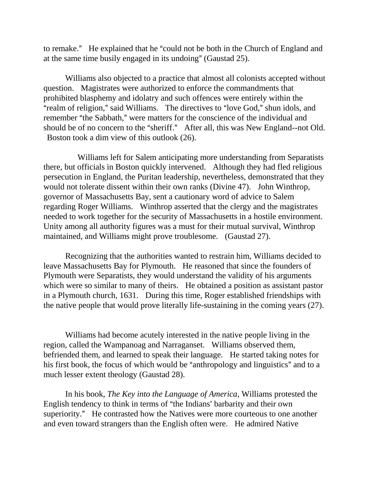to remake." He explained that he "could not be both in the Church of England and at the same time busily engaged in its undoing" (Gaustad  $25$ ).

Williams also objected to a practice that almost all colonists accepted without question. Magistrates were authorized to enforce the commandments that prohibited blasphemy and idolatry and such offences were entirely within the "realm of religion," said Williams. The directives to "love God," shun idols, and remember "the Sabbath," were matters for the conscience of the individual and should be of no concern to the "sheriff." After all, this was New England--not Old. Boston took a dim view of this outlook (26).

 Williams left for Salem anticipating more understanding from Separatists there, but officials in Boston quickly intervened. Although they had fled religious persecution in England, the Puritan leadership, nevertheless, demonstrated that they would not tolerate dissent within their own ranks (Divine 47). John Winthrop, governor of Massachusetts Bay, sent a cautionary word of advice to Salem regarding Roger Williams. Winthrop asserted that the clergy and the magistrates needed to work together for the security of Massachusetts in a hostile environment. Unity among all authority figures was a must for their mutual survival, Winthrop maintained, and Williams might prove troublesome. (Gaustad 27).

Recognizing that the authorities wanted to restrain him, Williams decided to leave Massachusetts Bay for Plymouth. He reasoned that since the founders of Plymouth were Separatists, they would understand the validity of his arguments which were so similar to many of theirs. He obtained a position as assistant pastor in a Plymouth church, 1631. During this time, Roger established friendships with the native people that would prove literally life-sustaining in the coming years (27).

Williams had become acutely interested in the native people living in the region, called the Wampanoag and Narraganset. Williams observed them, befriended them, and learned to speak their language. He started taking notes for his first book, the focus of which would be "anthropology and linguistics" and to a much lesser extent theology (Gaustad 28).

In his book, *The Key into the Language of America*, Williams protested the English tendency to think in terms of "the Indians' barbarity and their own superiority." He contrasted how the Natives were more courteous to one another and even toward strangers than the English often were. He admired Native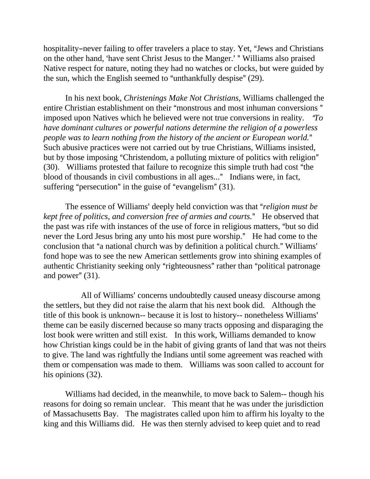hospitality-never failing to offer travelers a place to stay. Yet, "Jews and Christians" on the other hand, 'have sent Christ Jesus to the Manger.' " Williams also praised Native respect for nature, noting they had no watches or clocks, but were guided by the sun, which the English seemed to "unthankfully despise" (29).

In his next book, *Christenings Make Not Christians,* Williams challenged the entire Christian establishment on their "monstrous and most inhuman conversions" imposed upon Natives which he believed were not true conversions in reality. *To have dominant cultures or powerful nations determine the religion of a powerless people was to learn nothing from the history of the ancient or European world.*" Such abusive practices were not carried out by true Christians, Williams insisted, but by those imposing "Christendom, a polluting mixture of politics with religion"  $(30)$ . Williams protested that failure to recognize this simple truth had cost "the blood of thousands in civil combustions in all ages..." Indians were, in fact, suffering "persecution" in the guise of "evangelism"  $(31)$ .

The essence of Williams' deeply held conviction was that "*religion must be kept free of politics, and conversion free of armies and courts.*@ He observed that the past was rife with instances of the use of force in religious matters, "but so did never the Lord Jesus bring any unto his most pure worship." He had come to the conclusion that "a national church was by definition a political church." Williams' fond hope was to see the new American settlements grow into shining examples of authentic Christianity seeking only "righteousness" rather than "political patronage and power"  $(31)$ .

All of Williams' concerns undoubtedly caused uneasy discourse among the settlers, but they did not raise the alarm that his next book did. Although the title of this book is unknown-- because it is lost to history-- nonetheless Williams' theme can be easily discerned because so many tracts opposing and disparaging the lost book were written and still exist. In this work, Williams demanded to know how Christian kings could be in the habit of giving grants of land that was not theirs to give. The land was rightfully the Indians until some agreement was reached with them or compensation was made to them. Williams was soon called to account for his opinions (32).

Williams had decided, in the meanwhile, to move back to Salem-- though his reasons for doing so remain unclear. This meant that he was under the jurisdiction of Massachusetts Bay. The magistrates called upon him to affirm his loyalty to the king and this Williams did. He was then sternly advised to keep quiet and to read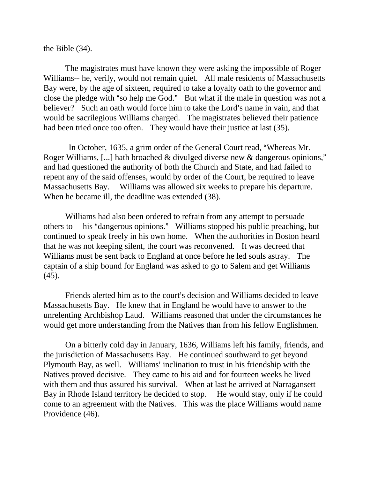the Bible (34).

The magistrates must have known they were asking the impossible of Roger Williams-- he, verily, would not remain quiet. All male residents of Massachusetts Bay were, by the age of sixteen, required to take a loyalty oath to the governor and close the pledge with "so help me God." But what if the male in question was not a believer? Such an oath would force him to take the Lord's name in vain, and that would be sacrilegious Williams charged. The magistrates believed their patience had been tried once too often. They would have their justice at last (35).

In October, 1635, a grim order of the General Court read, "Whereas Mr. Roger Williams, [...] hath broached  $\&$  divulged diverse new  $\&$  dangerous opinions," and had questioned the authority of both the Church and State, and had failed to repent any of the said offenses, would by order of the Court, be required to leave Massachusetts Bay. Williams was allowed six weeks to prepare his departure. When he became ill, the deadline was extended (38).

Williams had also been ordered to refrain from any attempt to persuade others to his "dangerous opinions." Williams stopped his public preaching, but continued to speak freely in his own home. When the authorities in Boston heard that he was not keeping silent, the court was reconvened. It was decreed that Williams must be sent back to England at once before he led souls astray. The captain of a ship bound for England was asked to go to Salem and get Williams (45).

Friends alerted him as to the court's decision and Williams decided to leave Massachusetts Bay. He knew that in England he would have to answer to the unrelenting Archbishop Laud. Williams reasoned that under the circumstances he would get more understanding from the Natives than from his fellow Englishmen.

On a bitterly cold day in January, 1636, Williams left his family, friends, and the jurisdiction of Massachusetts Bay. He continued southward to get beyond Plymouth Bay, as well. Williams' inclination to trust in his friendship with the Natives proved decisive. They came to his aid and for fourteen weeks he lived with them and thus assured his survival. When at last he arrived at Narragansett Bay in Rhode Island territory he decided to stop. He would stay, only if he could come to an agreement with the Natives. This was the place Williams would name Providence (46).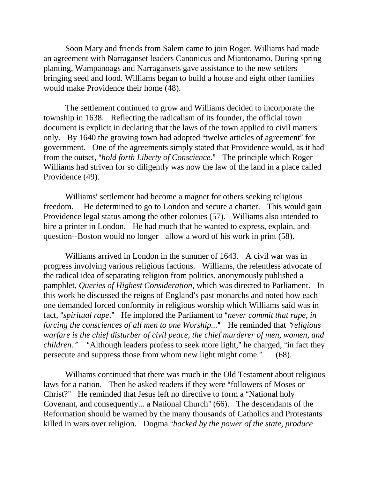Soon Mary and friends from Salem came to join Roger. Williams had made an agreement with Narraganset leaders Canonicus and Miantonamo. During spring planting, Wampanoags and Narragansets gave assistance to the new settlers bringing seed and food. Williams began to build a house and eight other families would make Providence their home (48).

The settlement continued to grow and Williams decided to incorporate the township in 1638. Reflecting the radicalism of its founder, the official town document is explicit in declaring that the laws of the town applied to civil matters only. By 1640 the growing town had adopted "twelve articles of agreement" for government. One of the agreements simply stated that Providence would, as it had from the outset, "*hold forth Liberty of Conscience*." The principle which Roger Williams had striven for so diligently was now the law of the land in a place called Providence (49).

Williams' settlement had become a magnet for others seeking religious freedom. He determined to go to London and secure a charter. This would gain Providence legal status among the other colonies (57). Williams also intended to hire a printer in London. He had much that he wanted to express, explain, and question--Boston would no longer allow a word of his work in print (58).

Williams arrived in London in the summer of 1643. A civil war was in progress involving various religious factions. Williams, the relentless advocate of the radical idea of separating religion from politics, anonymously published a pamphlet, *Queries of Highest Consideration,* which was directed to Parliament.In this work he discussed the reigns of England's past monarchs and noted how each one demanded forced conformity in religious worship which Williams said was in fact, "*spiritual rape*." He implored the Parliament to "*never commit that rape*, in *forcing the consciences of all men to one Worship...*" He reminded that "religious *warfare is the chief disturber of civil peace, the chief murderer of men, women, and children.*" "Although leaders profess to seek more light," he charged, "in fact they persecute and suppress those from whom new light might come."  $(68)$ .

Williams continued that there was much in the Old Testament about religious laws for a nation. Then he asked readers if they were "followers of Moses or Christ?" He reminded that Jesus left no directive to form a "National holy" Covenant, and consequently... a National Church" (66). The descendants of the Reformation should be warned by the many thousands of Catholics and Protestants killed in wars over religion. Dogma "*backed by the power of the state, produce*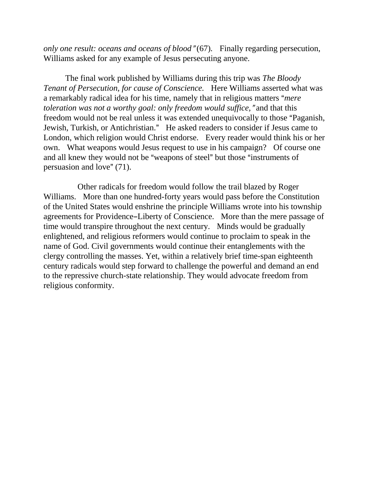*only one result: oceans and oceans of blood*"(67). Finally regarding persecution, Williams asked for any example of Jesus persecuting anyone.

The final work published by Williams during this trip was *The Bloody Tenant of Persecution, for cause of Conscience.* Here Williams asserted what was a remarkably radical idea for his time, namely that in religious matters "*mere toleration was not a worthy goal: only freedom would suffice,* "and that this freedom would not be real unless it was extended unequivocally to those "Paganish, Jewish, Turkish, or Antichristian." He asked readers to consider if Jesus came to London, which religion would Christ endorse. Every reader would think his or her own. What weapons would Jesus request to use in his campaign? Of course one and all knew they would not be "weapons of steel" but those "instruments of persuasion and love"  $(71)$ .

 Other radicals for freedom would follow the trail blazed by Roger Williams. More than one hundred-forty years would pass before the Constitution of the United States would enshrine the principle Williams wrote into his township agreements for Providence–Liberty of Conscience. More than the mere passage of time would transpire throughout the next century. Minds would be gradually enlightened, and religious reformers would continue to proclaim to speak in the name of God. Civil governments would continue their entanglements with the clergy controlling the masses. Yet, within a relatively brief time-span eighteenth century radicals would step forward to challenge the powerful and demand an end to the repressive church-state relationship. They would advocate freedom from religious conformity.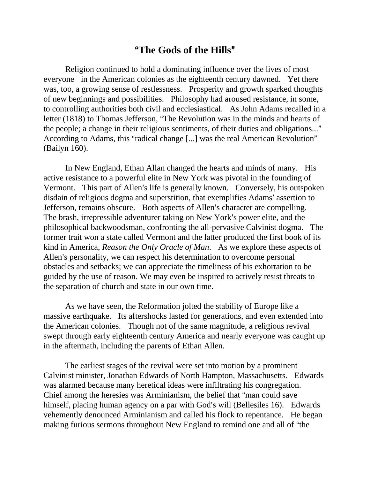### A**The Gods of the Hills**@

Religion continued to hold a dominating influence over the lives of most everyone in the American colonies as the eighteenth century dawned. Yet there was, too, a growing sense of restlessness. Prosperity and growth sparked thoughts of new beginnings and possibilities. Philosophy had aroused resistance, in some, to controlling authorities both civil and ecclesiastical. As John Adams recalled in a letter (1818) to Thomas Jefferson, "The Revolution was in the minds and hearts of the people; a change in their religious sentiments, of their duties and obligations..." According to Adams, this "radical change [...] was the real American Revolution" (Bailyn 160).

In New England, Ethan Allan changed the hearts and minds of many. His active resistance to a powerful elite in New York was pivotal in the founding of Vermont. This part of Allen's life is generally known. Conversely, his outspoken disdain of religious dogma and superstition, that exemplifies Adams' assertion to Jefferson, remains obscure. Both aspects of Allen's character are compelling. The brash, irrepressible adventurer taking on New York's power elite, and the philosophical backwoodsman, confronting the all-pervasive Calvinist dogma. The former trait won a state called Vermont and the latter produced the first book of its kind in America, *Reason the Only Oracle of Man*. As we explore these aspects of Allen's personality, we can respect his determination to overcome personal obstacles and setbacks; we can appreciate the timeliness of his exhortation to be guided by the use of reason. We may even be inspired to actively resist threats to the separation of church and state in our own time.

As we have seen, the Reformation jolted the stability of Europe like a massive earthquake. Its aftershocks lasted for generations, and even extended into the American colonies. Though not of the same magnitude, a religious revival swept through early eighteenth century America and nearly everyone was caught up in the aftermath, including the parents of Ethan Allen.

The earliest stages of the revival were set into motion by a prominent Calvinist minister, Jonathan Edwards of North Hampton, Massachusetts. Edwards was alarmed because many heretical ideas were infiltrating his congregation. Chief among the heresies was Arminianism, the belief that "man could save" himself, placing human agency on a par with God's will (Bellesiles 16). Edwards vehemently denounced Arminianism and called his flock to repentance. He began making furious sermons throughout New England to remind one and all of "the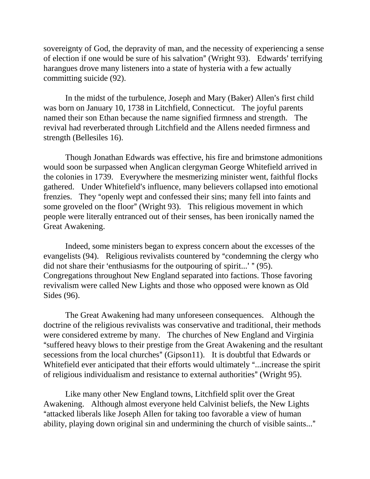sovereignty of God, the depravity of man, and the necessity of experiencing a sense of election if one would be sure of his salvation" (Wright 93). Edwards' terrifying harangues drove many listeners into a state of hysteria with a few actually committing suicide (92).

In the midst of the turbulence, Joseph and Mary (Baker) Allen's first child was born on January 10, 1738 in Litchfield, Connecticut. The joyful parents named their son Ethan because the name signified firmness and strength. The revival had reverberated through Litchfield and the Allens needed firmness and strength (Bellesiles 16).

Though Jonathan Edwards was effective, his fire and brimstone admonitions would soon be surpassed when Anglican clergyman George Whitefield arrived in the colonies in 1739. Everywhere the mesmerizing minister went, faithful flocks gathered. Under Whitefield's influence, many believers collapsed into emotional frenzies. They "openly wept and confessed their sins; many fell into faints and some groveled on the floor" (Wright 93). This religious movement in which people were literally entranced out of their senses, has been ironically named the Great Awakening.

Indeed, some ministers began to express concern about the excesses of the evangelists (94). Religious revivalists countered by "condemning the clergy who did not share their 'enthusiasms for the outpouring of spirit...' " $(95)$ . Congregations throughout New England separated into factions. Those favoring revivalism were called New Lights and those who opposed were known as Old Sides (96).

The Great Awakening had many unforeseen consequences. Although the doctrine of the religious revivalists was conservative and traditional, their methods were considered extreme by many. The churches of New England and Virginia "suffered heavy blows to their prestige from the Great Awakening and the resultant secessions from the local churches" (Gipson11). It is doubtful that Edwards or Whitefield ever anticipated that their efforts would ultimately "...increase the spirit of religious individualism and resistance to external authorities" (Wright 95).

Like many other New England towns, Litchfield split over the Great Awakening. Although almost everyone held Calvinist beliefs, the New Lights "attacked liberals like Joseph Allen for taking too favorable a view of human ability, playing down original sin and undermining the church of visible saints..."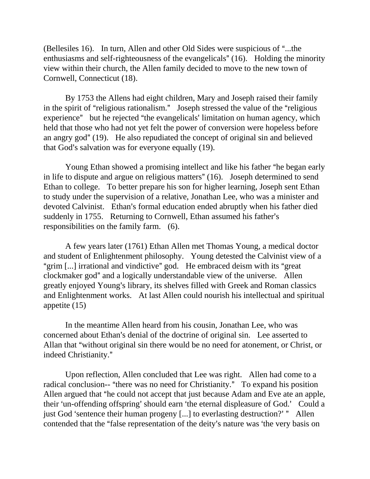(Bellesiles 16). In turn, Allen and other Old Sides were suspicious of "...the enthusiasms and self-righteousness of the evangelicals"  $(16)$ . Holding the minority view within their church, the Allen family decided to move to the new town of Cornwell, Connecticut (18).

By 1753 the Allens had eight children, Mary and Joseph raised their family in the spirit of "religious rationalism." Joseph stressed the value of the "religious" experience" but he rejected "the evangelicals' limitation on human agency, which held that those who had not yet felt the power of conversion were hopeless before an angry god"  $(19)$ . He also repudiated the concept of original sin and believed that God's salvation was for everyone equally  $(19)$ .

Young Ethan showed a promising intellect and like his father "he began early in life to dispute and argue on religious matters"  $(16)$ . Joseph determined to send Ethan to college. To better prepare his son for higher learning, Joseph sent Ethan to study under the supervision of a relative, Jonathan Lee, who was a minister and devoted Calvinist. Ethan's formal education ended abruptly when his father died suddenly in 1755. Returning to Cornwell, Ethan assumed his father's responsibilities on the family farm. (6).

A few years later (1761) Ethan Allen met Thomas Young, a medical doctor and student of Enlightenment philosophy. Young detested the Calvinist view of a "grim  $\left[ \ldots \right]$  irrational and vindictive" god. He embraced deism with its "great" clockmaker god" and a logically understandable view of the universe. Allen greatly enjoyed Young's library, its shelves filled with Greek and Roman classics and Enlightenment works. At last Allen could nourish his intellectual and spiritual appetite (15)

In the meantime Allen heard from his cousin, Jonathan Lee, who was concerned about Ethan's denial of the doctrine of original sin. Lee asserted to Allan that "without original sin there would be no need for atonement, or Christ, or indeed Christianity."

Upon reflection, Allen concluded that Lee was right. Allen had come to a radical conclusion-- "there was no need for Christianity." To expand his position Allen argued that "he could not accept that just because Adam and Eve ate an apple, their 'un-offending offspring' should earn 'the eternal displeasure of God.' Could a just God 'sentence their human progeny [...] to everlasting destruction?' " Allen contended that the "false representation of the deity's nature was 'the very basis on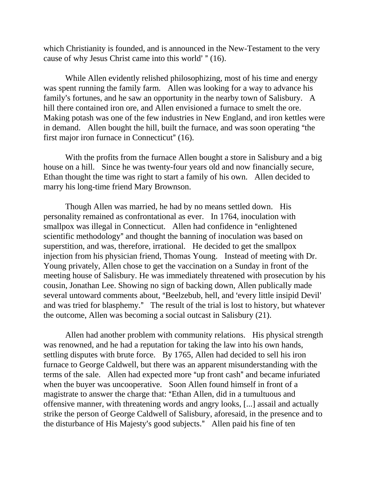which Christianity is founded, and is announced in the New-Testament to the very cause of why Jesus Christ came into this world'  $" (16)$ .

While Allen evidently relished philosophizing, most of his time and energy was spent running the family farm. Allen was looking for a way to advance his family's fortunes, and he saw an opportunity in the nearby town of Salisbury. A hill there contained iron ore, and Allen envisioned a furnace to smelt the ore. Making potash was one of the few industries in New England, and iron kettles were in demand. Allen bought the hill, built the furnace, and was soon operating "the first major iron furnace in Connecticut"  $(16)$ .

With the profits from the furnace Allen bought a store in Salisbury and a big house on a hill. Since he was twenty-four years old and now financially secure, Ethan thought the time was right to start a family of his own. Allen decided to marry his long-time friend Mary Brownson.

Though Allen was married, he had by no means settled down. His personality remained as confrontational as ever. In 1764, inoculation with smallpox was illegal in Connecticut. Allen had confidence in "enlightened" scientific methodology" and thought the banning of inoculation was based on superstition, and was, therefore, irrational. He decided to get the smallpox injection from his physician friend, Thomas Young. Instead of meeting with Dr. Young privately, Allen chose to get the vaccination on a Sunday in front of the meeting house of Salisbury. He was immediately threatened with prosecution by his cousin, Jonathan Lee. Showing no sign of backing down, Allen publically made several untoward comments about, "Beelzebub, hell, and 'every little insipid Devil' and was tried for blasphemy." The result of the trial is lost to history, but whatever the outcome, Allen was becoming a social outcast in Salisbury (21).

Allen had another problem with community relations. His physical strength was renowned, and he had a reputation for taking the law into his own hands, settling disputes with brute force. By 1765, Allen had decided to sell his iron furnace to George Caldwell, but there was an apparent misunderstanding with the terms of the sale. Allen had expected more "up front cash" and became infuriated when the buyer was uncooperative. Soon Allen found himself in front of a magistrate to answer the charge that: "Ethan Allen, did in a tumultuous and offensive manner, with threatening words and angry looks, [...] assail and actually strike the person of George Caldwell of Salisbury, aforesaid, in the presence and to the disturbance of His Majesty's good subjects." Allen paid his fine of ten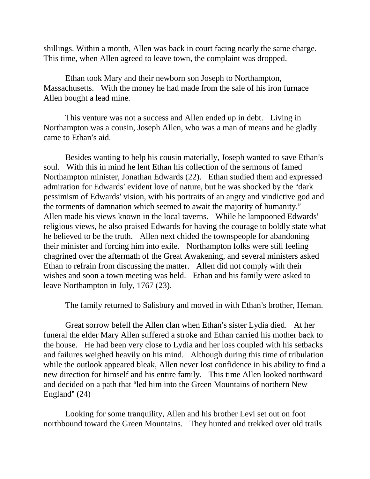shillings. Within a month, Allen was back in court facing nearly the same charge. This time, when Allen agreed to leave town, the complaint was dropped.

Ethan took Mary and their newborn son Joseph to Northampton, Massachusetts. With the money he had made from the sale of his iron furnace Allen bought a lead mine.

This venture was not a success and Allen ended up in debt. Living in Northampton was a cousin, Joseph Allen, who was a man of means and he gladly came to Ethan's aid.

Besides wanting to help his cousin materially, Joseph wanted to save Ethan's soul. With this in mind he lent Ethan his collection of the sermons of famed Northampton minister, Jonathan Edwards (22). Ethan studied them and expressed admiration for Edwards' evident love of nature, but he was shocked by the "dark" pessimism of Edwards' vision, with his portraits of an angry and vindictive god and the torments of damnation which seemed to await the majority of humanity." Allen made his views known in the local taverns. While he lampooned Edwards' religious views, he also praised Edwards for having the courage to boldly state what he believed to be the truth. Allen next chided the townspeople for abandoning their minister and forcing him into exile. Northampton folks were still feeling chagrined over the aftermath of the Great Awakening, and several ministers asked Ethan to refrain from discussing the matter. Allen did not comply with their wishes and soon a town meeting was held. Ethan and his family were asked to leave Northampton in July, 1767 (23).

The family returned to Salisbury and moved in with Ethan's brother, Heman.

Great sorrow befell the Allen clan when Ethan's sister Lydia died. At her funeral the elder Mary Allen suffered a stroke and Ethan carried his mother back to the house. He had been very close to Lydia and her loss coupled with his setbacks and failures weighed heavily on his mind. Although during this time of tribulation while the outlook appeared bleak, Allen never lost confidence in his ability to find a new direction for himself and his entire family. This time Allen looked northward and decided on a path that "led him into the Green Mountains of northern New England"  $(24)$ 

Looking for some tranquility, Allen and his brother Levi set out on foot northbound toward the Green Mountains. They hunted and trekked over old trails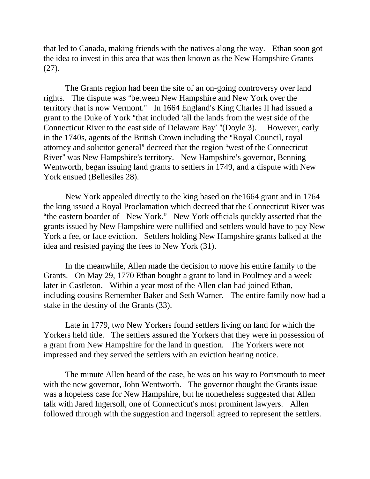that led to Canada, making friends with the natives along the way. Ethan soon got the idea to invest in this area that was then known as the New Hampshire Grants (27).

The Grants region had been the site of an on-going controversy over land rights. The dispute was "between New Hampshire and New York over the territory that is now Vermont." In 1664 England's King Charles II had issued a grant to the Duke of York "that included 'all the lands from the west side of the Connecticut River to the east side of Delaware Bay' "(Doyle 3). However, early in the 1740s, agents of the British Crown including the "Royal Council, royal attorney and solicitor general" decreed that the region "west of the Connecticut River" was New Hampshire's territory. New Hampshire's governor, Benning Wentworth, began issuing land grants to settlers in 1749, and a dispute with New York ensued (Bellesiles 28).

New York appealed directly to the king based on the1664 grant and in 1764 the king issued a Royal Proclamation which decreed that the Connecticut River was "the eastern boarder of New York." New York officials quickly asserted that the grants issued by New Hampshire were nullified and settlers would have to pay New York a fee, or face eviction. Settlers holding New Hampshire grants balked at the idea and resisted paying the fees to New York (31).

In the meanwhile, Allen made the decision to move his entire family to the Grants. On May 29, 1770 Ethan bought a grant to land in Poultney and a week later in Castleton. Within a year most of the Allen clan had joined Ethan, including cousins Remember Baker and Seth Warner. The entire family now had a stake in the destiny of the Grants (33).

Late in 1779, two New Yorkers found settlers living on land for which the Yorkers held title. The settlers assured the Yorkers that they were in possession of a grant from New Hampshire for the land in question. The Yorkers were not impressed and they served the settlers with an eviction hearing notice.

The minute Allen heard of the case, he was on his way to Portsmouth to meet with the new governor, John Wentworth. The governor thought the Grants issue was a hopeless case for New Hampshire, but he nonetheless suggested that Allen talk with Jared Ingersoll, one of Connecticut's most prominent lawyers. Allen followed through with the suggestion and Ingersoll agreed to represent the settlers.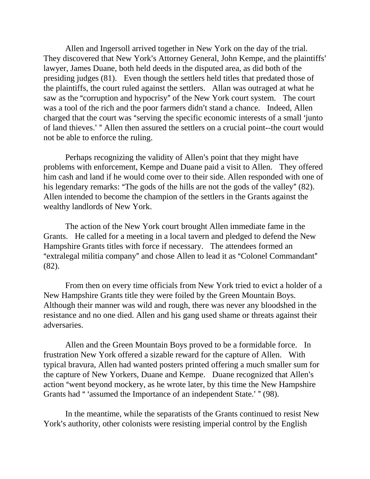Allen and Ingersoll arrived together in New York on the day of the trial. They discovered that New York's Attorney General, John Kempe, and the plaintiffs' lawyer, James Duane, both held deeds in the disputed area, as did both of the presiding judges (81). Even though the settlers held titles that predated those of the plaintiffs, the court ruled against the settlers. Allan was outraged at what he saw as the "corruption and hypocrisy" of the New York court system. The court was a tool of the rich and the poor farmers didn't stand a chance. Indeed, Allen charged that the court was "serving the specific economic interests of a small 'junto' of land thieves.' " Allen then assured the settlers on a crucial point--the court would not be able to enforce the ruling.

Perhaps recognizing the validity of Allen's point that they might have problems with enforcement, Kempe and Duane paid a visit to Allen. They offered him cash and land if he would come over to their side. Allen responded with one of his legendary remarks: "The gods of the hills are not the gods of the valley"  $(82)$ . Allen intended to become the champion of the settlers in the Grants against the wealthy landlords of New York.

The action of the New York court brought Allen immediate fame in the Grants. He called for a meeting in a local tavern and pledged to defend the New Hampshire Grants titles with force if necessary. The attendees formed an "extralegal militia company" and chose Allen to lead it as "Colonel Commandant" (82).

From then on every time officials from New York tried to evict a holder of a New Hampshire Grants title they were foiled by the Green Mountain Boys. Although their manner was wild and rough, there was never any bloodshed in the resistance and no one died. Allen and his gang used shame or threats against their adversaries.

Allen and the Green Mountain Boys proved to be a formidable force. In frustration New York offered a sizable reward for the capture of Allen. With typical bravura, Allen had wanted posters printed offering a much smaller sum for the capture of New Yorkers, Duane and Kempe. Duane recognized that Allen's action "went beyond mockery, as he wrote later, by this time the New Hampshire Grants had " 'assumed the Importance of an independent State.' " (98).

In the meantime, while the separatists of the Grants continued to resist New York's authority, other colonists were resisting imperial control by the English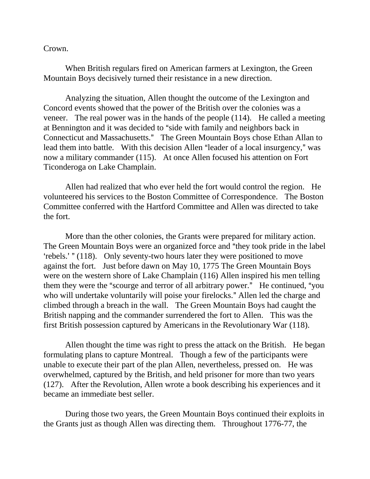Crown.

When British regulars fired on American farmers at Lexington, the Green Mountain Boys decisively turned their resistance in a new direction.

Analyzing the situation, Allen thought the outcome of the Lexington and Concord events showed that the power of the British over the colonies was a veneer. The real power was in the hands of the people (114). He called a meeting at Bennington and it was decided to "side with family and neighbors back in Connecticut and Massachusetts." The Green Mountain Boys chose Ethan Allan to lead them into battle. With this decision Allen "leader of a local insurgency," was now a military commander (115). At once Allen focused his attention on Fort Ticonderoga on Lake Champlain.

Allen had realized that who ever held the fort would control the region. He volunteered his services to the Boston Committee of Correspondence. The Boston Committee conferred with the Hartford Committee and Allen was directed to take the fort.

More than the other colonies, the Grants were prepared for military action. The Green Mountain Boys were an organized force and "they took pride in the label" 'rebels.' " (118). Only seventy-two hours later they were positioned to move against the fort. Just before dawn on May 10, 1775 The Green Mountain Boys were on the western shore of Lake Champlain (116) Allen inspired his men telling them they were the "scourge and terror of all arbitrary power." He continued, "you who will undertake voluntarily will poise your firelocks." Allen led the charge and climbed through a breach in the wall. The Green Mountain Boys had caught the British napping and the commander surrendered the fort to Allen. This was the first British possession captured by Americans in the Revolutionary War (118).

Allen thought the time was right to press the attack on the British. He began formulating plans to capture Montreal. Though a few of the participants were unable to execute their part of the plan Allen, nevertheless, pressed on. He was overwhelmed, captured by the British, and held prisoner for more than two years (127). After the Revolution, Allen wrote a book describing his experiences and it became an immediate best seller.

During those two years, the Green Mountain Boys continued their exploits in the Grants just as though Allen was directing them. Throughout 1776-77, the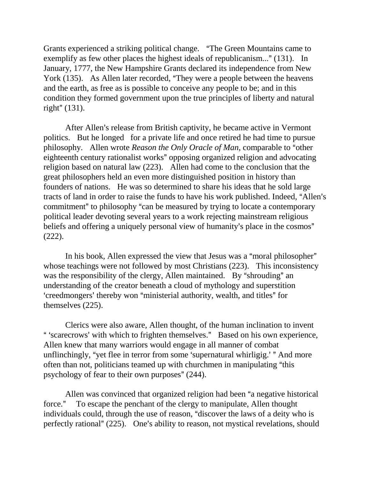Grants experienced a striking political change. "The Green Mountains came to exemplify as few other places the highest ideals of republicanism..." (131). In January, 1777, the New Hampshire Grants declared its independence from New York (135). As Allen later recorded, "They were a people between the heavens and the earth, as free as is possible to conceive any people to be; and in this condition they formed government upon the true principles of liberty and natural right"  $(131)$ .

After Allen's release from British captivity, he became active in Vermont politics. But he longed for a private life and once retired he had time to pursue philosophy. Allen wrote *Reason the Only Oracle of Man*, comparable to "other eighteenth century rationalist works" opposing organized religion and advocating religion based on natural law (223). Allen had come to the conclusion that the great philosophers held an even more distinguished position in history than founders of nations. He was so determined to share his ideas that he sold large tracts of land in order to raise the funds to have his work published. Indeed, "Allen's commitment" to philosophy "can be measured by trying to locate a contemporary political leader devoting several years to a work rejecting mainstream religious beliefs and offering a uniquely personal view of humanity's place in the cosmos" (222).

In his book, Allen expressed the view that Jesus was a "moral philosopher" whose teachings were not followed by most Christians (223). This inconsistency was the responsibility of the clergy, Allen maintained. By "shrouding" an understanding of the creator beneath a cloud of mythology and superstition 'creedmongers' thereby won "ministerial authority, wealth, and titles" for themselves (225).

Clerics were also aware, Allen thought, of the human inclination to invent " 'scarecrows' with which to frighten themselves." Based on his own experience, Allen knew that many warriors would engage in all manner of combat unflinchingly, "yet flee in terror from some 'supernatural whirligig.' " And more often than not, politicians teamed up with churchmen in manipulating "this psychology of fear to their own purposes"  $(244)$ .

Allen was convinced that organized religion had been "a negative historical force." To escape the penchant of the clergy to manipulate, Allen thought individuals could, through the use of reason, "discover the laws of a deity who is perfectly rational"  $(225)$ . One's ability to reason, not mystical revelations, should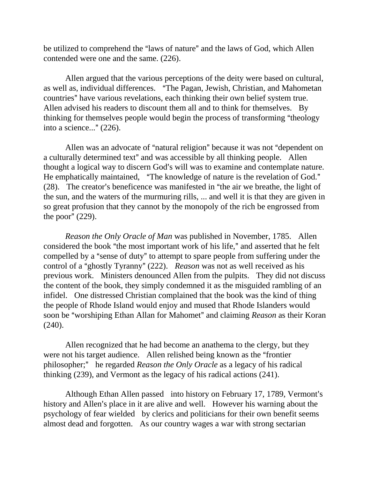be utilized to comprehend the "laws of nature" and the laws of God, which Allen contended were one and the same. (226).

Allen argued that the various perceptions of the deity were based on cultural, as well as, individual differences. "The Pagan, Jewish, Christian, and Mahometan countries" have various revelations, each thinking their own belief system true. Allen advised his readers to discount them all and to think for themselves. By thinking for themselves people would begin the process of transforming "theology into a science..."  $(226)$ .

Allen was an advocate of "natural religion" because it was not "dependent on a culturally determined text" and was accessible by all thinking people. Allen thought a logical way to discern God's will was to examine and contemplate nature. He emphatically maintained, "The knowledge of nature is the revelation of God."  $(28)$ . The creator's beneficence was manifested in "the air we breathe, the light of the sun, and the waters of the murmuring rills, ... and well it is that they are given in so great profusion that they cannot by the monopoly of the rich be engrossed from the poor"  $(229)$ .

*Reason the Only Oracle of Man* was published in November, 1785. Allen considered the book "the most important work of his life," and asserted that he felt compelled by a "sense of duty" to attempt to spare people from suffering under the control of a "ghostly Tyranny" (222). *Reason* was not as well received as his previous work. Ministers denounced Allen from the pulpits. They did not discuss the content of the book, they simply condemned it as the misguided rambling of an infidel. One distressed Christian complained that the book was the kind of thing the people of Rhode Island would enjoy and mused that Rhode Islanders would soon be "worshiping Ethan Allan for Mahomet" and claiming *Reason* as their Koran (240).

Allen recognized that he had become an anathema to the clergy, but they were not his target audience. Allen relished being known as the "frontier philosopher;" he regarded *Reason the Only Oracle* as a legacy of his radical thinking (239), and Vermont as the legacy of his radical actions (241).

Although Ethan Allen passed into history on February 17, 1789, Vermont's history and Allen's place in it are alive and well. However his warning about the psychology of fear wielded by clerics and politicians for their own benefit seems almost dead and forgotten. As our country wages a war with strong sectarian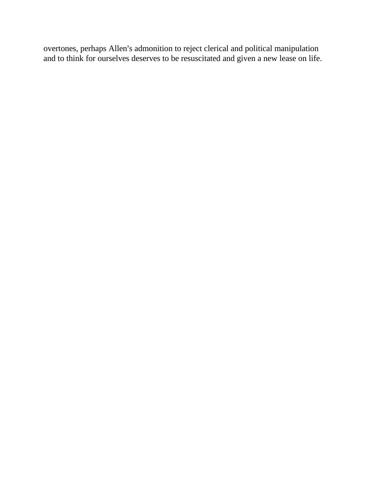overtones, perhaps Allen's admonition to reject clerical and political manipulation and to think for ourselves deserves to be resuscitated and given a new lease on life.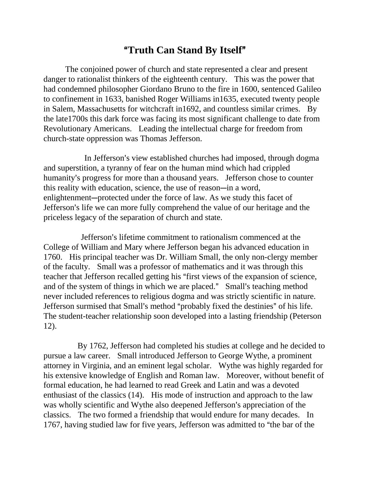# A**Truth Can Stand By Itself**@

The conjoined power of church and state represented a clear and present danger to rationalist thinkers of the eighteenth century. This was the power that had condemned philosopher Giordano Bruno to the fire in 1600, sentenced Galileo to confinement in 1633, banished Roger Williams in1635, executed twenty people in Salem, Massachusetts for witchcraft in1692, and countless similar crimes. By the late1700s this dark force was facing its most significant challenge to date from Revolutionary Americans. Leading the intellectual charge for freedom from church-state oppression was Thomas Jefferson.

In Jefferson's view established churches had imposed, through dogma and superstition, a tyranny of fear on the human mind which had crippled humanity's progress for more than a thousand years. Jefferson chose to counter this reality with education, science, the use of reason-in a word, enlightenment—protected under the force of law. As we study this facet of Jefferson's life we can more fully comprehend the value of our heritage and the priceless legacy of the separation of church and state.

Jefferson's lifetime commitment to rationalism commenced at the College of William and Mary where Jefferson began his advanced education in 1760. His principal teacher was Dr. William Small, the only non-clergy member of the faculty. Small was a professor of mathematics and it was through this teacher that Jefferson recalled getting his "first views of the expansion of science, and of the system of things in which we are placed." Small's teaching method never included references to religious dogma and was strictly scientific in nature. Jefferson surmised that Small's method "probably fixed the destinies" of his life. The student-teacher relationship soon developed into a lasting friendship (Peterson 12).

 By 1762, Jefferson had completed his studies at college and he decided to pursue a law career. Small introduced Jefferson to George Wythe, a prominent attorney in Virginia, and an eminent legal scholar. Wythe was highly regarded for his extensive knowledge of English and Roman law. Moreover, without benefit of formal education, he had learned to read Greek and Latin and was a devoted enthusiast of the classics (14). His mode of instruction and approach to the law was wholly scientific and Wythe also deepened Jefferson's appreciation of the classics. The two formed a friendship that would endure for many decades. In 1767, having studied law for five years, Jefferson was admitted to "the bar of the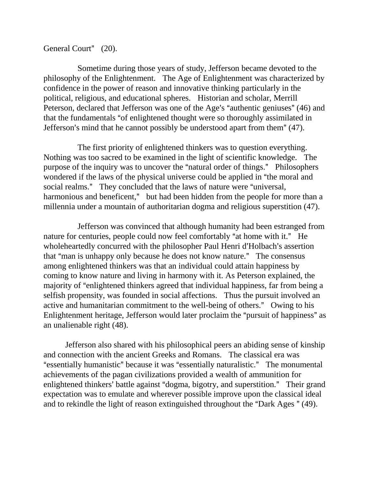#### General Court" (20).

 Sometime during those years of study, Jefferson became devoted to the philosophy of the Enlightenment. The Age of Enlightenment was characterized by confidence in the power of reason and innovative thinking particularly in the political, religious, and educational spheres. Historian and scholar, Merrill Peterson, declared that Jefferson was one of the Age's "authentic geniuses" (46) and that the fundamentals "of enlightened thought were so thoroughly assimilated in Jefferson's mind that he cannot possibly be understood apart from them"  $(47)$ .

 The first priority of enlightened thinkers was to question everything. Nothing was too sacred to be examined in the light of scientific knowledge. The purpose of the inquiry was to uncover the "natural order of things." Philosophers wondered if the laws of the physical universe could be applied in "the moral and social realms." They concluded that the laws of nature were "universal, harmonious and beneficent," but had been hidden from the people for more than a millennia under a mountain of authoritarian dogma and religious superstition (47).

 Jefferson was convinced that although humanity had been estranged from nature for centuries, people could now feel comfortably "at home with it." He wholeheartedly concurred with the philosopher Paul Henri d'Holbach's assertion that "man is unhappy only because he does not know nature." The consensus among enlightened thinkers was that an individual could attain happiness by coming to know nature and living in harmony with it. As Peterson explained, the majority of "enlightened thinkers agreed that individual happiness, far from being a selfish propensity, was founded in social affections. Thus the pursuit involved an active and humanitarian commitment to the well-being of others." Owing to his Enlightenment heritage, Jefferson would later proclaim the "pursuit of happiness" as an unalienable right (48).

Jefferson also shared with his philosophical peers an abiding sense of kinship and connection with the ancient Greeks and Romans. The classical era was "essentially humanistic" because it was "essentially naturalistic." The monumental achievements of the pagan civilizations provided a wealth of ammunition for enlightened thinkers' battle against "dogma, bigotry, and superstition." Their grand expectation was to emulate and wherever possible improve upon the classical ideal and to rekindle the light of reason extinguished throughout the "Dark Ages " (49).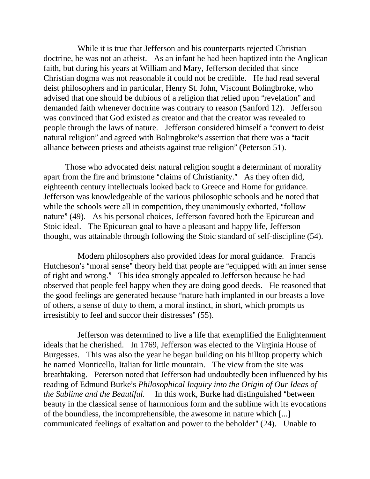While it is true that Jefferson and his counterparts rejected Christian doctrine, he was not an atheist. As an infant he had been baptized into the Anglican faith, but during his years at William and Mary, Jefferson decided that since Christian dogma was not reasonable it could not be credible. He had read several deist philosophers and in particular, Henry St. John, Viscount Bolingbroke, who advised that one should be dubious of a religion that relied upon "revelation" and demanded faith whenever doctrine was contrary to reason (Sanford 12). Jefferson was convinced that God existed as creator and that the creator was revealed to people through the laws of nature. Jefferson considered himself a "convert to deist" natural religion" and agreed with Bolingbroke's assertion that there was a "tacit alliance between priests and atheists against true religion" (Peterson 51).

Those who advocated deist natural religion sought a determinant of morality apart from the fire and brimstone "claims of Christianity." As they often did, eighteenth century intellectuals looked back to Greece and Rome for guidance. Jefferson was knowledgeable of the various philosophic schools and he noted that while the schools were all in competition, they unanimously exhorted, "follow" nature" (49). As his personal choices, Jefferson favored both the Epicurean and Stoic ideal. The Epicurean goal to have a pleasant and happy life, Jefferson thought, was attainable through following the Stoic standard of self-discipline (54).

 Modern philosophers also provided ideas for moral guidance. Francis Hutcheson's "moral sense" theory held that people are "equipped with an inner sense of right and wrong." This idea strongly appealed to Jefferson because he had observed that people feel happy when they are doing good deeds. He reasoned that the good feelings are generated because "nature hath implanted in our breasts a love of others, a sense of duty to them, a moral instinct, in short, which prompts us irresistibly to feel and succor their distresses" (55).

 Jefferson was determined to live a life that exemplified the Enlightenment ideals that he cherished. In 1769, Jefferson was elected to the Virginia House of Burgesses. This was also the year he began building on his hilltop property which he named Monticello, Italian for little mountain. The view from the site was breathtaking. Peterson noted that Jefferson had undoubtedly been influenced by his reading of Edmund Burke's *Philosophical Inquiry into the Origin of Our Ideas of the Sublime and the Beautiful.* In this work, Burke had distinguished "between" beauty in the classical sense of harmonious form and the sublime with its evocations of the boundless, the incomprehensible, the awesome in nature which [...] communicated feelings of exaltation and power to the beholder"  $(24)$ . Unable to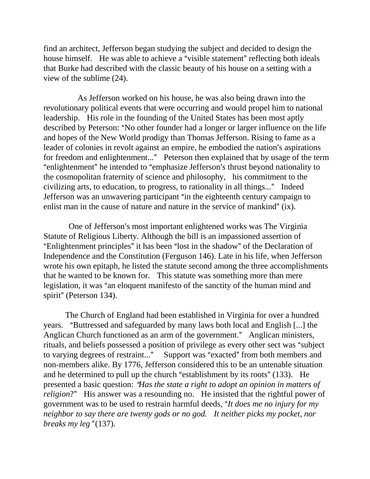find an architect, Jefferson began studying the subject and decided to design the house himself. He was able to achieve a "visible statement" reflecting both ideals that Burke had described with the classic beauty of his house on a setting with a view of the sublime (24).

 As Jefferson worked on his house, he was also being drawn into the revolutionary political events that were occurring and would propel him to national leadership. His role in the founding of the United States has been most aptly described by Peterson: "No other founder had a longer or larger influence on the life and hopes of the New World prodigy than Thomas Jefferson. Rising to fame as a leader of colonies in revolt against an empire, he embodied the nation's aspirations for freedom and enlightenment..." Peterson then explained that by usage of the term "enlightenment" he intended to "emphasize Jefferson's thrust beyond nationality to the cosmopolitan fraternity of science and philosophy, his commitment to the civilizing arts, to education, to progress, to rationality in all things..." Indeed Jefferson was an unwavering participant "in the eighteenth century campaign to enlist man in the cause of nature and nature in the service of mankind"  $(ix)$ .

One of Jefferson's most important enlightened works was The Virginia Statute of Religious Liberty. Although the bill is an impassioned assertion of "Enlightenment principles" it has been "lost in the shadow" of the Declaration of Independence and the Constitution (Ferguson 146). Late in his life, when Jefferson wrote his own epitaph, he listed the statute second among the three accomplishments that he wanted to be known for. This statute was something more than mere legislation, it was "an eloquent manifesto of the sanctity of the human mind and spirit" (Peterson 134).

The Church of England had been established in Virginia for over a hundred years. "Buttressed and safeguarded by many laws both local and English [...] the Anglican Church functioned as an arm of the government." Anglican ministers, rituals, and beliefs possessed a position of privilege as every other sect was "subject to varying degrees of restraint..." Support was "exacted" from both members and non-members alike. By 1776, Jefferson considered this to be an untenable situation and he determined to pull up the church "establishment by its roots"  $(133)$ . He presented a basic question: *Has the state a right to adopt an opinion in matters of religion*?" His answer was a resounding no. He insisted that the rightful power of government was to be used to restrain harmful deeds, A*It does me no injury for my neighbor to say there are twenty gods or no god. It neither picks my pocket, nor breaks my leg* "(137).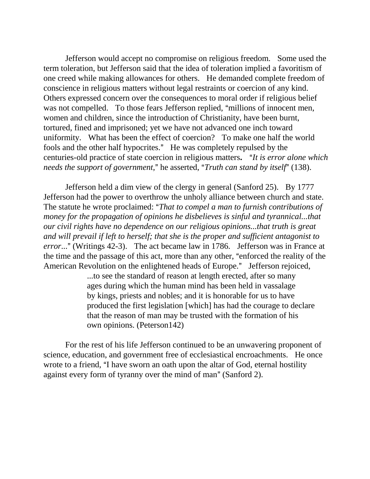Jefferson would accept no compromise on religious freedom. Some used the term toleration, but Jefferson said that the idea of toleration implied a favoritism of one creed while making allowances for others. He demanded complete freedom of conscience in religious matters without legal restraints or coercion of any kind. Others expressed concern over the consequences to moral order if religious belief was not compelled. To those fears Jefferson replied, "millions of innocent men, women and children, since the introduction of Christianity, have been burnt, tortured, fined and imprisoned; yet we have not advanced one inch toward uniformity. What has been the effect of coercion? To make one half the world fools and the other half hypocrites." He was completely repulsed by the centuries-old practice of state coercion in religious matters. "It is error alone which *needs the support of government*," he asserted, "*Truth can stand by itself*" (138).

Jefferson held a dim view of the clergy in general (Sanford 25). By 1777 Jefferson had the power to overthrow the unholy alliance between church and state. The statute he wrote proclaimed: "That to compel a man to furnish contributions of *money for the propagation of opinions he disbelieves is sinful and tyrannical...that our civil rights have no dependence on our religious opinions...that truth is great and will prevail if left to herself; that she is the proper and sufficient antagonist to error...*" (Writings 42-3). The act became law in 1786. Jefferson was in France at the time and the passage of this act, more than any other, "enforced the reality of the American Revolution on the enlightened heads of Europe." Jefferson rejoiced,

> ...to see the standard of reason at length erected, after so many ages during which the human mind has been held in vassalage by kings, priests and nobles; and it is honorable for us to have produced the first legislation [which] has had the courage to declare that the reason of man may be trusted with the formation of his own opinions. (Peterson142)

For the rest of his life Jefferson continued to be an unwavering proponent of science, education, and government free of ecclesiastical encroachments. He once wrote to a friend, "I have sworn an oath upon the altar of God, eternal hostility against every form of tyranny over the mind of man" (Sanford 2).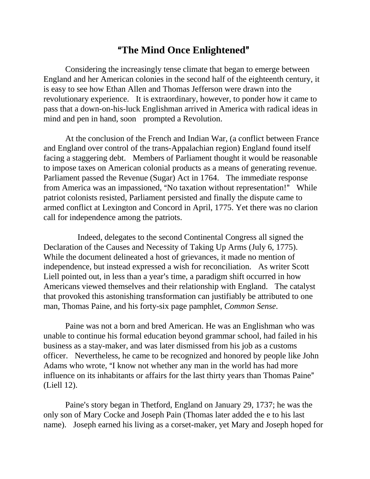# **"The Mind Once Enlightened"**

Considering the increasingly tense climate that began to emerge between England and her American colonies in the second half of the eighteenth century, it is easy to see how Ethan Allen and Thomas Jefferson were drawn into the revolutionary experience. It is extraordinary, however, to ponder how it came to pass that a down-on-his-luck Englishman arrived in America with radical ideas in mind and pen in hand, soon prompted a Revolution.

At the conclusion of the French and Indian War, (a conflict between France and England over control of the trans-Appalachian region) England found itself facing a staggering debt. Members of Parliament thought it would be reasonable to impose taxes on American colonial products as a means of generating revenue. Parliament passed the Revenue (Sugar) Act in 1764. The immediate response from America was an impassioned, "No taxation without representation!" While patriot colonists resisted, Parliament persisted and finally the dispute came to armed conflict at Lexington and Concord in April, 1775. Yet there was no clarion call for independence among the patriots.

 Indeed, delegates to the second Continental Congress all signed the Declaration of the Causes and Necessity of Taking Up Arms (July 6, 1775). While the document delineated a host of grievances, it made no mention of independence, but instead expressed a wish for reconciliation. As writer Scott Liell pointed out, in less than a year's time, a paradigm shift occurred in how Americans viewed themselves and their relationship with England. The catalyst that provoked this astonishing transformation can justifiably be attributed to one man, Thomas Paine, and his forty-six page pamphlet, *Common Sense*.

Paine was not a born and bred American. He was an Englishman who was unable to continue his formal education beyond grammar school, had failed in his business as a stay-maker, and was later dismissed from his job as a customs officer. Nevertheless, he came to be recognized and honored by people like John Adams who wrote, "I know not whether any man in the world has had more influence on its inhabitants or affairs for the last thirty years than Thomas Paine" (Liell 12).

Paine's story began in Thetford, England on January 29, 1737; he was the only son of Mary Cocke and Joseph Pain (Thomas later added the e to his last name). Joseph earned his living as a corset-maker, yet Mary and Joseph hoped for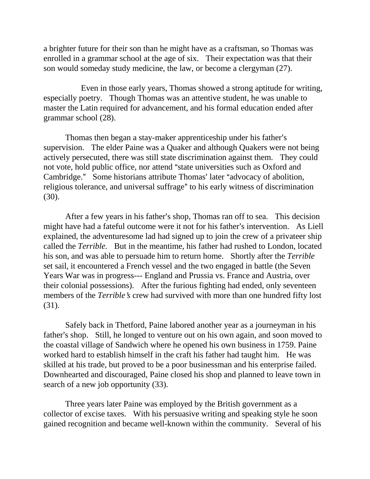a brighter future for their son than he might have as a craftsman, so Thomas was enrolled in a grammar school at the age of six. Their expectation was that their son would someday study medicine, the law, or become a clergyman (27).

 Even in those early years, Thomas showed a strong aptitude for writing, especially poetry. Though Thomas was an attentive student, he was unable to master the Latin required for advancement, and his formal education ended after grammar school (28).

Thomas then began a stay-maker apprenticeship under his father's supervision. The elder Paine was a Quaker and although Quakers were not being actively persecuted, there was still state discrimination against them. They could not vote, hold public office, nor attend "state universities such as Oxford and Cambridge." Some historians attribute Thomas' later "advocacy of abolition, religious tolerance, and universal suffrage" to his early witness of discrimination (30).

After a few years in his father's shop, Thomas ran off to sea. This decision might have had a fateful outcome were it not for his father's intervention. As Liell explained, the adventuresome lad had signed up to join the crew of a privateer ship called the *Terrible.* But in the meantime, his father had rushed to London, located his son, and was able to persuade him to return home. Shortly after the *Terrible*  set sail, it encountered a French vessel and the two engaged in battle (the Seven Years War was in progress--- England and Prussia vs. France and Austria, over their colonial possessions). After the furious fighting had ended, only seventeen members of the *Terrible's* crew had survived with more than one hundred fifty lost (31).

 Safely back in Thetford, Paine labored another year as a journeyman in his father's shop. Still, he longed to venture out on his own again, and soon moved to the coastal village of Sandwich where he opened his own business in 1759. Paine worked hard to establish himself in the craft his father had taught him. He was skilled at his trade, but proved to be a poor businessman and his enterprise failed. Downhearted and discouraged, Paine closed his shop and planned to leave town in search of a new job opportunity (33).

Three years later Paine was employed by the British government as a collector of excise taxes. With his persuasive writing and speaking style he soon gained recognition and became well-known within the community. Several of his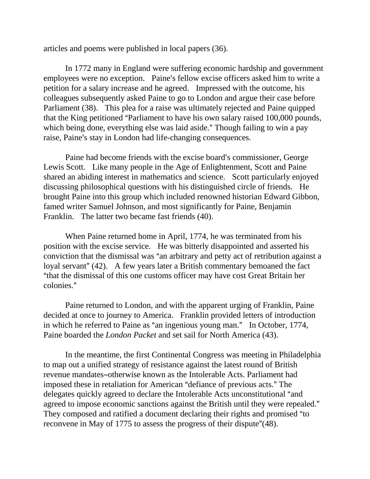articles and poems were published in local papers (36).

In 1772 many in England were suffering economic hardship and government employees were no exception. Paine's fellow excise officers asked him to write a petition for a salary increase and he agreed. Impressed with the outcome, his colleagues subsequently asked Paine to go to London and argue their case before Parliament (38). This plea for a raise was ultimately rejected and Paine quipped that the King petitioned "Parliament to have his own salary raised 100,000 pounds, which being done, everything else was laid aside." Though failing to win a pay raise, Paine's stay in London had life-changing consequences.

Paine had become friends with the excise board's commissioner, George Lewis Scott. Like many people in the Age of Enlightenment, Scott and Paine shared an abiding interest in mathematics and science. Scott particularly enjoyed discussing philosophical questions with his distinguished circle of friends. He brought Paine into this group which included renowned historian Edward Gibbon, famed writer Samuel Johnson, and most significantly for Paine, Benjamin Franklin. The latter two became fast friends (40).

When Paine returned home in April, 1774, he was terminated from his position with the excise service. He was bitterly disappointed and asserted his conviction that the dismissal was "an arbitrary and petty act of retribution against a loyal servant" (42). A few years later a British commentary bemoaned the fact "that the dismissal of this one customs officer may have cost Great Britain her colonies."

Paine returned to London, and with the apparent urging of Franklin, Paine decided at once to journey to America. Franklin provided letters of introduction in which he referred to Paine as "an ingenious young man." In October, 1774, Paine boarded the *London Packet* and set sail for North America (43).

In the meantime, the first Continental Congress was meeting in Philadelphia to map out a unified strategy of resistance against the latest round of British revenue mandates-otherwise known as the Intolerable Acts. Parliament had imposed these in retaliation for American "defiance of previous acts." The delegates quickly agreed to declare the Intolerable Acts unconstitutional "and agreed to impose economic sanctions against the British until they were repealed." They composed and ratified a document declaring their rights and promised "to reconvene in May of 1775 to assess the progress of their dispute"(48).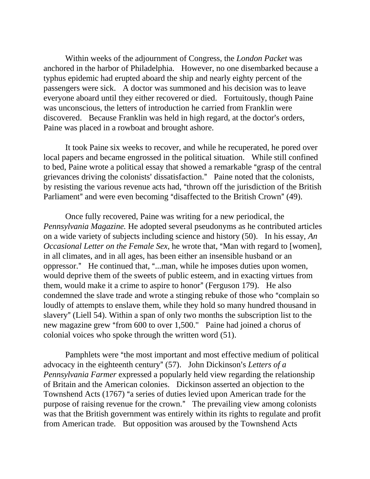Within weeks of the adjournment of Congress, the *London Packet* was anchored in the harbor of Philadelphia. However, no one disembarked because a typhus epidemic had erupted aboard the ship and nearly eighty percent of the passengers were sick. A doctor was summoned and his decision was to leave everyone aboard until they either recovered or died. Fortuitously, though Paine was unconscious, the letters of introduction he carried from Franklin were discovered. Because Franklin was held in high regard, at the doctor's orders, Paine was placed in a rowboat and brought ashore.

It took Paine six weeks to recover, and while he recuperated, he pored over local papers and became engrossed in the political situation. While still confined to bed, Paine wrote a political essay that showed a remarkable "grasp of the central grievances driving the colonists' dissatisfaction." Paine noted that the colonists, by resisting the various revenue acts had, "thrown off the jurisdiction of the British Parliament" and were even becoming "disaffected to the British Crown" (49).

Once fully recovered, Paine was writing for a new periodical, the *Pennsylvania Magazine.* He adopted several pseudonyms as he contributed articles on a wide variety of subjects including science and history (50). In his essay, *An Occasional Letter on the Female Sex, he wrote that, "Man with regard to [women],* in all climates, and in all ages, has been either an insensible husband or an oppressor." He continued that, "...man, while he imposes duties upon women, would deprive them of the sweets of public esteem, and in exacting virtues from them, would make it a crime to aspire to honor" (Ferguson 179). He also condemned the slave trade and wrote a stinging rebuke of those who "complain so loudly of attempts to enslave them, while they hold so many hundred thousand in slavery" (Liell 54). Within a span of only two months the subscription list to the new magazine grew "from 600 to over 1,500." Paine had joined a chorus of colonial voices who spoke through the written word (51).

Pamphlets were "the most important and most effective medium of political advocacy in the eighteenth century" (57). John Dickinson's Letters of a *Pennsylvania Farmer* expressed a popularly held view regarding the relationship of Britain and the American colonies. Dickinson asserted an objection to the Townshend Acts (1767) "a series of duties levied upon American trade for the purpose of raising revenue for the crown." The prevailing view among colonists was that the British government was entirely within its rights to regulate and profit from American trade. But opposition was aroused by the Townshend Acts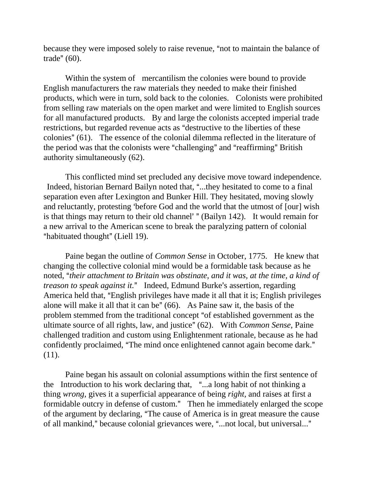because they were imposed solely to raise revenue, "not to maintain the balance of trade"  $(60)$ .

Within the system of mercantilism the colonies were bound to provide English manufacturers the raw materials they needed to make their finished products, which were in turn, sold back to the colonies. Colonists were prohibited from selling raw materials on the open market and were limited to English sources for all manufactured products. By and large the colonists accepted imperial trade restrictions, but regarded revenue acts as "destructive to the liberties of these colonies" (61). The essence of the colonial dilemma reflected in the literature of the period was that the colonists were "challenging" and "reaffirming" British authority simultaneously (62).

This conflicted mind set precluded any decisive move toward independence. Indeed, historian Bernard Bailyn noted that, "...they hesitated to come to a final separation even after Lexington and Bunker Hill. They hesitated, moving slowly and reluctantly, protesting 'before God and the world that the utmost of [our] wish is that things may return to their old channel' " (Bailyn 142). It would remain for a new arrival to the American scene to break the paralyzing pattern of colonial "habituated thought" (Liell 19).

Paine began the outline of *Common Sense* in October, 1775. He knew that changing the collective colonial mind would be a formidable task because as he noted, A*their attachment to Britain was obstinate, and it was, at the time, a kind of treason to speak against it.*" Indeed, Edmund Burke's assertion, regarding America held that, "English privileges have made it all that it is; English privileges alone will make it all that it can be"  $(66)$ . As Paine saw it, the basis of the problem stemmed from the traditional concept "of established government as the ultimate source of all rights, law, and justice" (62). With *Common Sense*, Paine challenged tradition and custom using Enlightenment rationale, because as he had confidently proclaimed, "The mind once enlightened cannot again become dark." (11).

Paine began his assault on colonial assumptions within the first sentence of the Introduction to his work declaring that, "...a long habit of not thinking a thing *wrong,* gives it a superficial appearance of being *right,* and raises at first a formidable outcry in defense of custom." Then he immediately enlarged the scope of the argument by declaring, "The cause of America is in great measure the cause of all mankind," because colonial grievances were, "...not local, but universal..."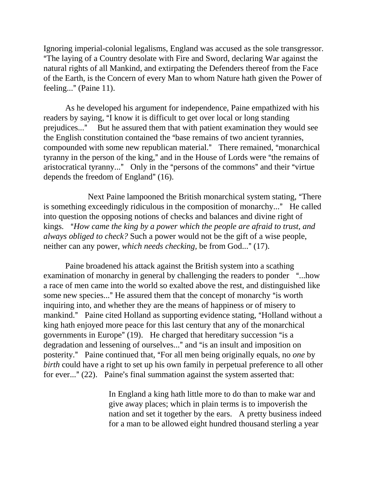Ignoring imperial-colonial legalisms, England was accused as the sole transgressor. "The laying of a Country desolate with Fire and Sword, declaring War against the natural rights of all Mankind, and extirpating the Defenders thereof from the Face of the Earth, is the Concern of every Man to whom Nature hath given the Power of feeling...@ (Paine 11).

As he developed his argument for independence, Paine empathized with his readers by saying, "I know it is difficult to get over local or long standing prejudices..." But he assured them that with patient examination they would see the English constitution contained the "base remains of two ancient tyrannies, compounded with some new republican material." There remained, "monarchical tyranny in the person of the king," and in the House of Lords were "the remains of aristocratical tyranny..." Only in the "persons of the commons" and their "virtue depends the freedom of England"  $(16)$ .

Next Paine lampooned the British monarchical system stating, "There" is something exceedingly ridiculous in the composition of monarchy..." He called into question the opposing notions of checks and balances and divine right of kings. "How came the king by a power which the people are afraid to trust, and *always obliged to check?* Such a power would not be the gift of a wise people, neither can any power, *which needs checking*, be from God..." (17).

Paine broadened his attack against the British system into a scathing examination of monarchy in general by challenging the readers to ponder "...how a race of men came into the world so exalted above the rest, and distinguished like some new species..." He assured them that the concept of monarchy "is worth inquiring into, and whether they are the means of happiness or of misery to mankind." Paine cited Holland as supporting evidence stating, "Holland without a king hath enjoyed more peace for this last century that any of the monarchical governments in Europe"  $(19)$ . He charged that hereditary succession "is a degradation and lessening of ourselves..." and "is an insult and imposition on posterity." Paine continued that, "For all men being originally equals, no *one* by *birth* could have a right to set up his own family in perpetual preference to all other for ever..."  $(22)$ . Paine's final summation against the system asserted that:

> In England a king hath little more to do than to make war and give away places; which in plain terms is to impoverish the nation and set it together by the ears. A pretty business indeed for a man to be allowed eight hundred thousand sterling a year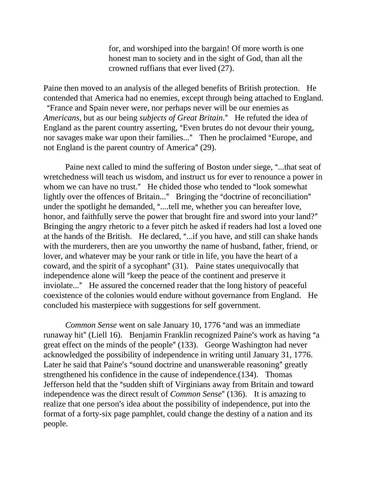for, and worshiped into the bargain! Of more worth is one honest man to society and in the sight of God, than all the crowned ruffians that ever lived (27).

Paine then moved to an analysis of the alleged benefits of British protection. He contended that America had no enemies, except through being attached to England. "France and Spain never were, nor perhaps never will be our enemies as *Americans, but as our being <i>subjects of Great Britain*." He refuted the idea of England as the parent country asserting, "Even brutes do not devour their young, nor savages make war upon their families..." Then he proclaimed "Europe, and not England is the parent country of America"  $(29)$ .

Paine next called to mind the suffering of Boston under siege, "...that seat of wretchedness will teach us wisdom, and instruct us for ever to renounce a power in whom we can have no trust." He chided those who tended to "look somewhat lightly over the offences of Britain..." Bringing the "doctrine of reconciliation" under the spotlight he demanded, "....tell me, whether you can hereafter love, honor, and faithfully serve the power that brought fire and sword into your land?" Bringing the angry rhetoric to a fever pitch he asked if readers had lost a loved one at the hands of the British. He declared, "...if you have, and still can shake hands with the murderers, then are you unworthy the name of husband, father, friend, or lover, and whatever may be your rank or title in life, you have the heart of a coward, and the spirit of a sycophant" (31). Paine states unequivocally that independence alone will "keep the peace of the continent and preserve it inviolate..." He assured the concerned reader that the long history of peaceful coexistence of the colonies would endure without governance from England. He concluded his masterpiece with suggestions for self government.

*Common Sense* went on sale January 10, 1776 "and was an immediate runaway hit" (Liell 16). Benjamin Franklin recognized Paine's work as having "a great effect on the minds of the people" (133). George Washington had never acknowledged the possibility of independence in writing until January 31, 1776. Later he said that Paine's "sound doctrine and unanswerable reasoning" greatly strengthened his confidence in the cause of independence.(134). Thomas Jefferson held that the "sudden shift of Virginians away from Britain and toward independence was the direct result of *Common Sense*" (136). It is amazing to realize that one person's idea about the possibility of independence, put into the format of a forty-six page pamphlet, could change the destiny of a nation and its people.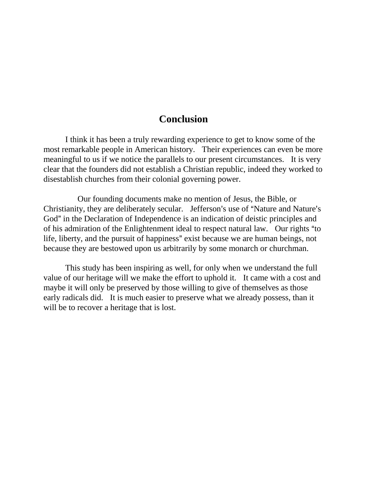# **Conclusion**

I think it has been a truly rewarding experience to get to know some of the most remarkable people in American history. Their experiences can even be more meaningful to us if we notice the parallels to our present circumstances. It is very clear that the founders did not establish a Christian republic, indeed they worked to disestablish churches from their colonial governing power.

 Our founding documents make no mention of Jesus, the Bible, or Christianity, they are deliberately secular. Jefferson's use of "Nature and Nature's God" in the Declaration of Independence is an indication of deistic principles and of his admiration of the Enlightenment ideal to respect natural law. Our rights "to life, liberty, and the pursuit of happiness" exist because we are human beings, not because they are bestowed upon us arbitrarily by some monarch or churchman.

This study has been inspiring as well, for only when we understand the full value of our heritage will we make the effort to uphold it. It came with a cost and maybe it will only be preserved by those willing to give of themselves as those early radicals did. It is much easier to preserve what we already possess, than it will be to recover a heritage that is lost.